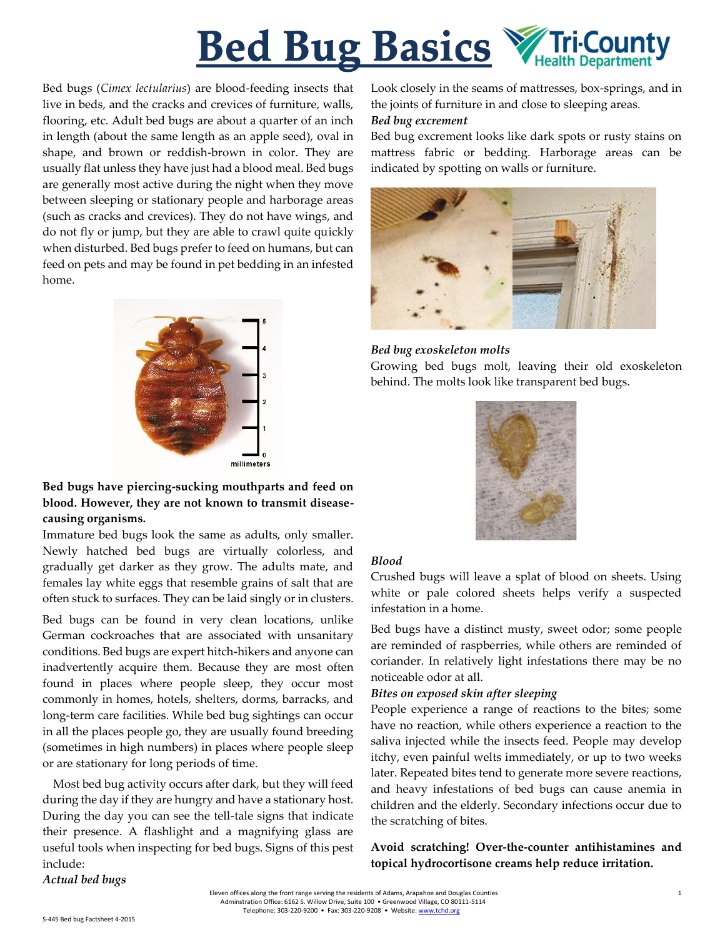

Bed bugs (*Cimex lectularius*) are blood-feeding insects that live in beds, and the cracks and crevices of furniture, walls, flooring, etc. Adult bed bugs are about a quarter of an inch in length (about the same length as an apple seed), oval in shape, and brown or reddish-brown in color. They are usually flat unless they have just had a blood meal. Bed bugs are generally most active during the night when they move between sleeping or stationary people and harborage areas (such as cracks and crevices). They do not have wings, and do not fly or jump, but they are able to crawl quite quickly when disturbed. Bed bugs prefer to feed on humans, but can feed on pets and may be found in pet bedding in an infested home.



# **Bed bugs have piercing-sucking mouthparts and feed on blood. However, they are not known to transmit diseasecausing organisms.**

Immature bed bugs look the same as adults, only smaller. Newly hatched bed bugs are virtually colorless, and gradually get darker as they grow. The adults mate, and females lay white eggs that resemble grains of salt that are often stuck to surfaces. They can be laid singly or in clusters.

Bed bugs can be found in very clean locations, unlike German cockroaches that are associated with unsanitary conditions. Bed bugs are expert hitch-hikers and anyone can inadvertently acquire them. Because they are most often found in places where people sleep, they occur most commonly in homes, hotels, shelters, dorms, barracks, and long-term care facilities. While bed bug sightings can occur in all the places people go, they are usually found breeding (sometimes in high numbers) in places where people sleep or are stationary for long periods of time.

Most bed bug activity occurs after dark, but they will feed during the day if they are hungry and have a stationary host. During the day you can see the tell-tale signs that indicate their presence. A flashlight and a magnifying glass are useful tools when inspecting for bed bugs. Signs of this pest include:

*Actual bed bugs*

Look closely in the seams of mattresses, box-springs, and in the joints of furniture in and close to sleeping areas.

#### *Bed bug excrement*

Bed bug excrement looks like dark spots or rusty stains on mattress fabric or bedding. Harborage areas can be indicated by spotting on walls or furniture.



### *Bed bug exoskeleton molts*

Growing bed bugs molt, leaving their old exoskeleton behind. The molts look like transparent bed bugs.



# *Blood*

Crushed bugs will leave a splat of blood on sheets. Using white or pale colored sheets helps verify a suspected infestation in a home.

Bed bugs have a distinct musty, sweet odor; some people are reminded of raspberries, while others are reminded of coriander. In relatively light infestations there may be no noticeable odor at all.

### *Bites on exposed skin after sleeping*

People experience a range of reactions to the bites; some have no reaction, while others experience a reaction to the saliva injected while the insects feed. People may develop itchy, even painful welts immediately, or up to two weeks later. Repeated bites tend to generate more severe reactions, and heavy infestations of bed bugs can cause anemia in children and the elderly. Secondary infections occur due to the scratching of bites.

# **Avoid scratching! Over-the-counter antihistamines and topical hydrocortisone creams help reduce irritation.**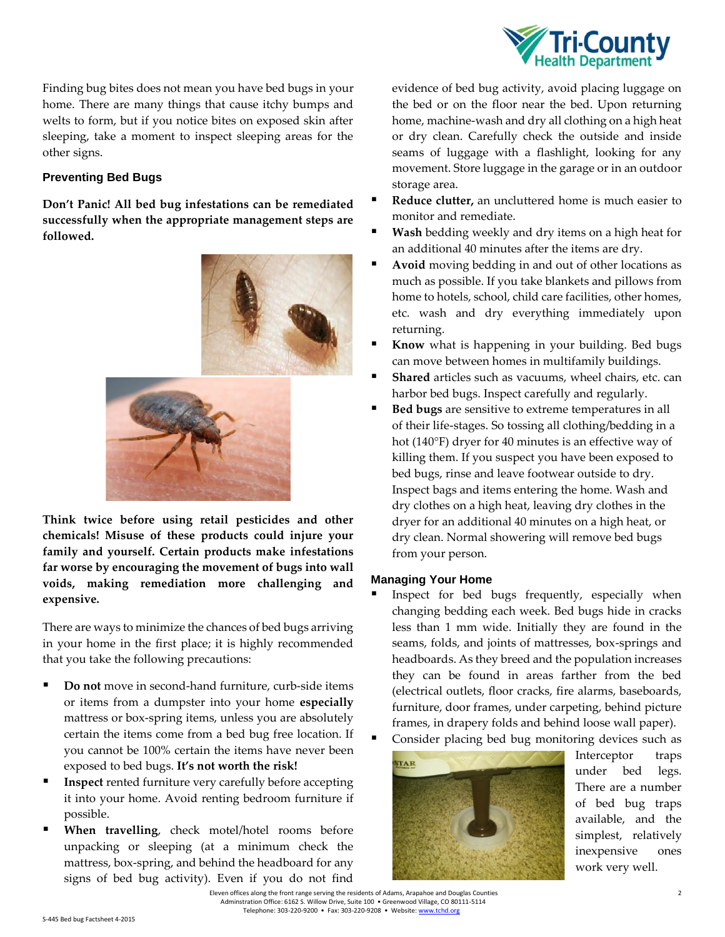

Finding bug bites does not mean you have bed bugs in your home. There are many things that cause itchy bumps and welts to form, but if you notice bites on exposed skin after sleeping, take a moment to inspect sleeping areas for the other signs.

## **Preventing Bed Bugs**

**Don't Panic! All bed bug infestations can be remediated successfully when the appropriate management steps are followed.**



**Think twice before using retail pesticides and other chemicals! Misuse of these products could injure your family and yourself. Certain products make infestations far worse by encouraging the movement of bugs into wall voids, making remediation more challenging and expensive.**

There are ways to minimize the chances of bed bugs arriving in your home in the first place; it is highly recommended that you take the following precautions:

- **Do not** move in second-hand furniture, curb-side items or items from a dumpster into your home **especially**  mattress or box-spring items, unless you are absolutely certain the items come from a bed bug free location. If you cannot be 100% certain the items have never been exposed to bed bugs. **It's not worth the risk!**
- **Inspect** rented furniture very carefully before accepting it into your home. Avoid renting bedroom furniture if possible.
- **When travelling**, check motel/hotel rooms before unpacking or sleeping (at a minimum check the mattress, box-spring, and behind the headboard for any signs of bed bug activity). Even if you do not find

evidence of bed bug activity, avoid placing luggage on the bed or on the floor near the bed. Upon returning home, machine-wash and dry all clothing on a high heat or dry clean. Carefully check the outside and inside seams of luggage with a flashlight, looking for any movement. Store luggage in the garage or in an outdoor storage area.

- **Reduce clutter,** an uncluttered home is much easier to monitor and remediate.
- **Wash** bedding weekly and dry items on a high heat for an additional 40 minutes after the items are dry.
- **Avoid** moving bedding in and out of other locations as much as possible. If you take blankets and pillows from home to hotels, school, child care facilities, other homes, etc. wash and dry everything immediately upon returning.
- **Know** what is happening in your building. Bed bugs can move between homes in multifamily buildings.
- **Shared** articles such as vacuums, wheel chairs, etc. can harbor bed bugs. Inspect carefully and regularly.
- **Bed bugs** are sensitive to extreme temperatures in all of their life-stages. So tossing all clothing/bedding in a hot (140°F) dryer for 40 minutes is an effective way of killing them. If you suspect you have been exposed to bed bugs, rinse and leave footwear outside to dry. Inspect bags and items entering the home. Wash and dry clothes on a high heat, leaving dry clothes in the dryer for an additional 40 minutes on a high heat, or dry clean. Normal showering will remove bed bugs from your person.

### **Managing Your Home**

- Inspect for bed bugs frequently, especially when changing bedding each week. Bed bugs hide in cracks less than 1 mm wide. Initially they are found in the seams, folds, and joints of mattresses, box-springs and headboards. As they breed and the population increases they can be found in areas farther from the bed (electrical outlets, floor cracks, fire alarms, baseboards, furniture, door frames, under carpeting, behind picture frames, in drapery folds and behind loose wall paper).
	- Consider placing bed bug monitoring devices such as



Interceptor traps under bed legs. There are a number of bed bug traps available, and the simplest, relatively inexpensive ones work very well.

 Eleven offices along the front range serving the residents of Adams, Arapahoe and Douglas Counties 2 Adminstration Office: 6162 S. Willow Drive, Suite 100 • Greenwood Village, CO 80111-5114 Telephone: 303-220-9200 • Fax: 303-220-9208 • Website: ww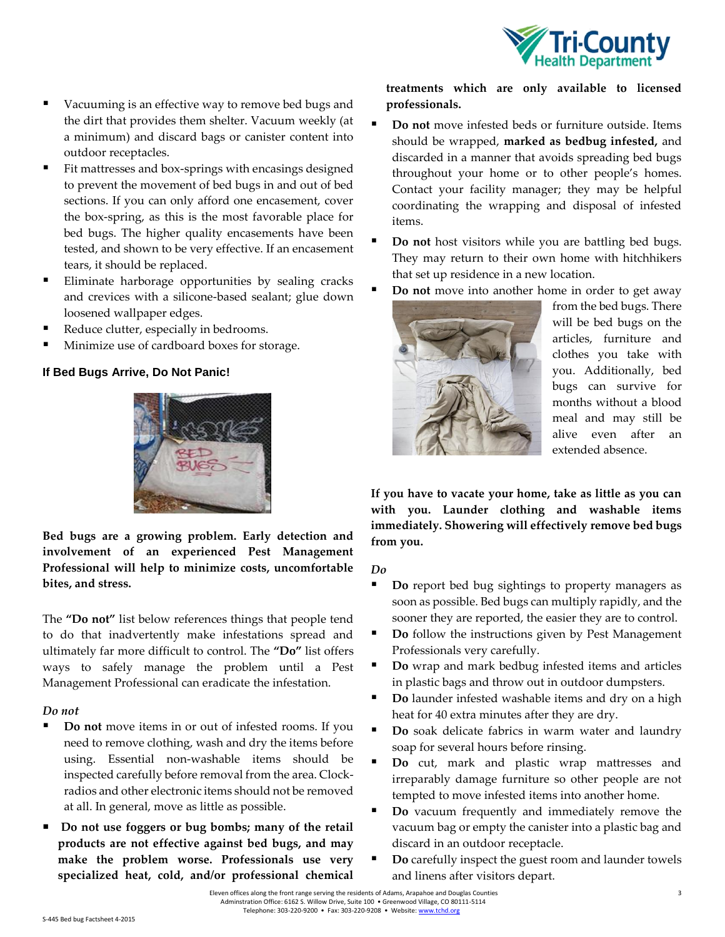

- Vacuuming is an effective way to remove bed bugs and the dirt that provides them shelter. Vacuum weekly (at a minimum) and discard bags or canister content into outdoor receptacles.
- Fit mattresses and box-springs with encasings designed to prevent the movement of bed bugs in and out of bed sections. If you can only afford one encasement, cover the box-spring, as this is the most favorable place for bed bugs. The higher quality encasements have been tested, and shown to be very effective. If an encasement tears, it should be replaced.
- Eliminate harborage opportunities by sealing cracks and crevices with a silicone-based sealant; glue down loosened wallpaper edges.
- Reduce clutter, especially in bedrooms.
- Minimize use of cardboard boxes for storage.

## **If Bed Bugs Arrive, Do Not Panic!**



**Bed bugs are a growing problem. Early detection and involvement of an experienced Pest Management Professional will help to minimize costs, uncomfortable bites, and stress.**

The **"Do not"** list below references things that people tend to do that inadvertently make infestations spread and ultimately far more difficult to control. The **"Do"** list offers ways to safely manage the problem until a Pest Management Professional can eradicate the infestation.

### *Do not*

- **Do not** move items in or out of infested rooms. If you need to remove clothing, wash and dry the items before using. Essential non-washable items should be inspected carefully before removal from the area. Clockradios and other electronic items should not be removed at all. In general, move as little as possible.
- **Do not use foggers or bug bombs; many of the retail products are not effective against bed bugs, and may make the problem worse. Professionals use very specialized heat, cold, and/or professional chemical**

**treatments which are only available to licensed professionals.**

- **Do not** move infested beds or furniture outside. Items should be wrapped, **marked as bedbug infested,** and discarded in a manner that avoids spreading bed bugs throughout your home or to other people's homes. Contact your facility manager; they may be helpful coordinating the wrapping and disposal of infested items.
- **Do not** host visitors while you are battling bed bugs. They may return to their own home with hitchhikers that set up residence in a new location.
- **Do not** move into another home in order to get away



from the bed bugs. There will be bed bugs on the articles, furniture and clothes you take with you. Additionally, bed bugs can survive for months without a blood meal and may still be alive even after an extended absence.

**If you have to vacate your home, take as little as you can with you. Launder clothing and washable items immediately. Showering will effectively remove bed bugs from you.**

### *Do*

- **Do** report bed bug sightings to property managers as soon as possible. Bed bugs can multiply rapidly, and the sooner they are reported, the easier they are to control.
- **Do** follow the instructions given by Pest Management Professionals very carefully.
- **Do** wrap and mark bedbug infested items and articles in plastic bags and throw out in outdoor dumpsters.
- **Do** launder infested washable items and dry on a high heat for 40 extra minutes after they are dry.
- **Do** soak delicate fabrics in warm water and laundry soap for several hours before rinsing.
- **Do** cut, mark and plastic wrap mattresses and irreparably damage furniture so other people are not tempted to move infested items into another home.
- **Do** vacuum frequently and immediately remove the vacuum bag or empty the canister into a plastic bag and discard in an outdoor receptacle.
- **Do** carefully inspect the guest room and launder towels and linens after visitors depart.